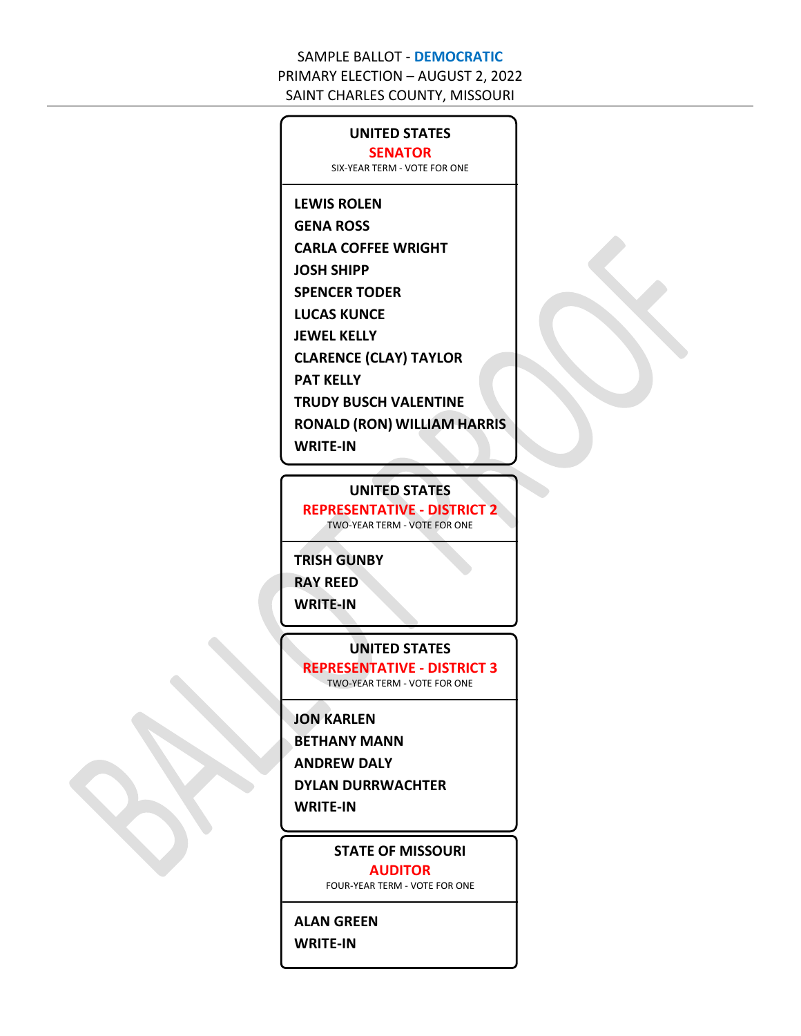### **UNITED STATES SENATOR**

SIX-YEAR TERM - VOTE FOR ONE

### **LEWIS ROLEN**

**GENA ROSS**

**CARLA COFFEE WRIGHT**

**JOSH SHIPP**

**SPENCER TODER**

**LUCAS KUNCE**

**JEWEL KELLY**

**CLARENCE (CLAY) TAYLOR**

**PAT KELLY**

**TRUDY BUSCH VALENTINE**

**RONALD (RON) WILLIAM HARRIS**

**WRITE-IN**

### **UNITED STATES**

**REPRESENTATIVE - DISTRICT 2**

TWO-YEAR TERM - VOTE FOR ONE

### **TRISH GUNBY**

**RAY REED**

**WRITE-IN**

### **UNITED STATES**

**REPRESENTATIVE - DISTRICT 3** TWO-YEAR TERM - VOTE FOR ONE

### **JON KARLEN**

**BETHANY MANN**

**ANDREW DALY**

**DYLAN DURRWACHTER**

**WRITE-IN**

### **STATE OF MISSOURI AUDITOR**

FOUR-YEAR TERM - VOTE FOR ONE

# **ALAN GREEN**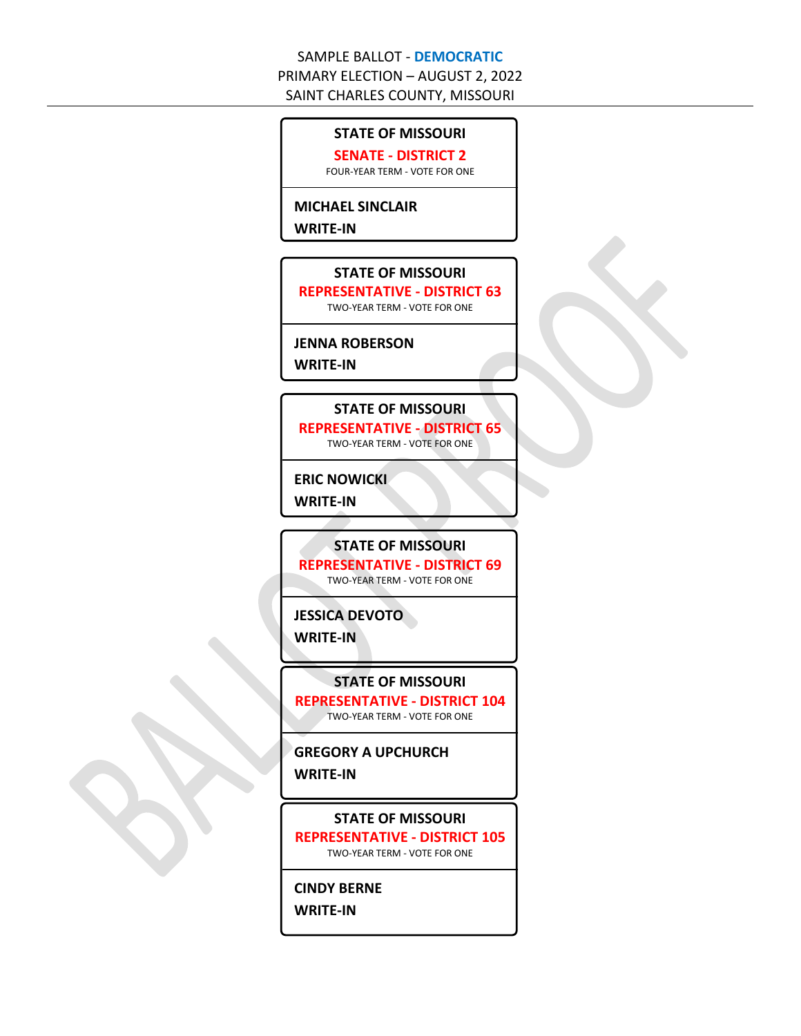## **STATE OF MISSOURI**

**SENATE - DISTRICT 2**

FOUR-YEAR TERM - VOTE FOR ONE

#### **MICHAEL SINCLAIR**

**WRITE-IN**

#### **STATE OF MISSOURI**

**REPRESENTATIVE - DISTRICT 63**

TWO-YEAR TERM - VOTE FOR ONE

### **JENNA ROBERSON**

**WRITE-IN**

## **STATE OF MISSOURI**

**REPRESENTATIVE - DISTRICT 65** TWO-YEAR TERM - VOTE FOR ONE

**ERIC NOWICKI**

**WRITE-IN**

#### **STATE OF MISSOURI**

**REPRESENTATIVE - DISTRICT 69**

TWO-YEAR TERM - VOTE FOR ONE

**JESSICA DEVOTO**

**WRITE-IN**

**STATE OF MISSOURI**

**REPRESENTATIVE - DISTRICT 104** TWO-YEAR TERM - VOTE FOR ONE

**GREGORY A UPCHURCH WRITE-IN**

**STATE OF MISSOURI REPRESENTATIVE - DISTRICT 105** TWO-YEAR TERM - VOTE FOR ONE

**CINDY BERNE**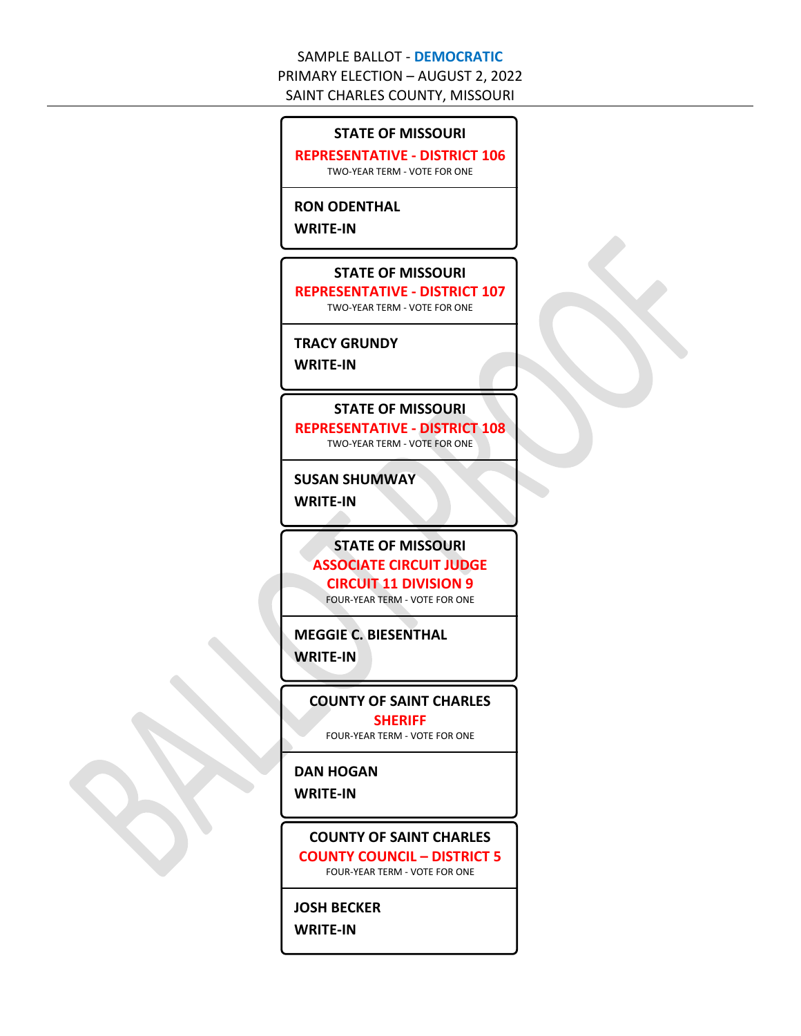#### **STATE OF MISSOURI**

**REPRESENTATIVE - DISTRICT 106** TWO-YEAR TERM - VOTE FOR ONE

#### **RON ODENTHAL**

**WRITE-IN**

#### **STATE OF MISSOURI**

**REPRESENTATIVE - DISTRICT 107** TWO-YEAR TERM - VOTE FOR ONE

#### **TRACY GRUNDY**

**WRITE-IN**

## **STATE OF MISSOURI**

**REPRESENTATIVE - DISTRICT 108** TWO-YEAR TERM - VOTE FOR ONE

**SUSAN SHUMWAY**

**WRITE-IN**

### **STATE OF MISSOURI ASSOCIATE CIRCUIT JUDGE**

**CIRCUIT 11 DIVISION 9**

FOUR-YEAR TERM - VOTE FOR ONE

**MEGGIE C. BIESENTHAL WRITE-IN**

**COUNTY OF SAINT CHARLES SHERIFF**

FOUR-YEAR TERM - VOTE FOR ONE

**DAN HOGAN**

**WRITE-IN**

**COUNTY OF SAINT CHARLES COUNTY COUNCIL – DISTRICT 5** FOUR-YEAR TERM - VOTE FOR ONE

**JOSH BECKER**